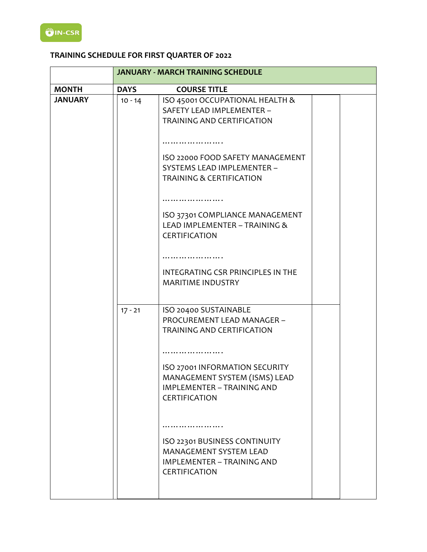# **TRAINING SCHEDULE FOR FIRST QUARTER OF 2022**

|                |             | <b>JANUARY - MARCH TRAINING SCHEDULE</b>                                                                                                                                                                                                                                                                                           |  |
|----------------|-------------|------------------------------------------------------------------------------------------------------------------------------------------------------------------------------------------------------------------------------------------------------------------------------------------------------------------------------------|--|
| <b>MONTH</b>   | <b>DAYS</b> | <b>COURSE TITLE</b>                                                                                                                                                                                                                                                                                                                |  |
| <b>JANUARY</b> | $10 - 14$   | ISO 45001 OCCUPATIONAL HEALTH &<br>SAFETY LEAD IMPLEMENTER -<br><b>TRAINING AND CERTIFICATION</b>                                                                                                                                                                                                                                  |  |
|                |             | ISO 22000 FOOD SAFETY MANAGEMENT<br>SYSTEMS LEAD IMPLEMENTER -<br><b>TRAINING &amp; CERTIFICATION</b><br>ISO 37301 COMPLIANCE MANAGEMENT<br>LEAD IMPLEMENTER - TRAINING &<br><b>CERTIFICATION</b>                                                                                                                                  |  |
|                |             | INTEGRATING CSR PRINCIPLES IN THE<br><b>MARITIME INDUSTRY</b>                                                                                                                                                                                                                                                                      |  |
|                | $17 - 21$   | ISO 20400 SUSTAINABLE<br>PROCUREMENT LEAD MANAGER -<br>TRAINING AND CERTIFICATION<br>ISO 27001 INFORMATION SECURITY<br>MANAGEMENT SYSTEM (ISMS) LEAD<br>IMPLEMENTER - TRAINING AND<br><b>CERTIFICATION</b><br>ISO 22301 BUSINESS CONTINUITY<br>MANAGEMENT SYSTEM LEAD<br><b>IMPLEMENTER - TRAINING AND</b><br><b>CERTIFICATION</b> |  |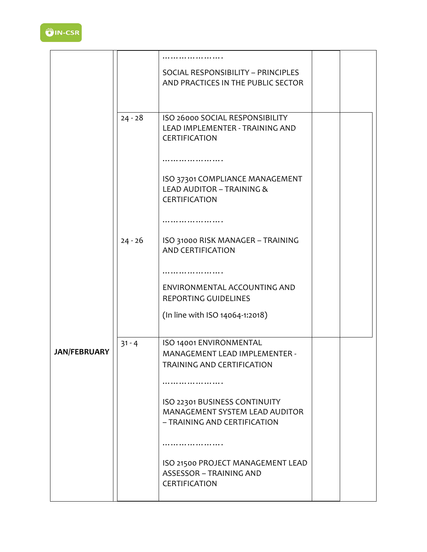

|                     |           | SOCIAL RESPONSIBILITY - PRINCIPLES<br>AND PRACTICES IN THE PUBLIC SECTOR                        |  |
|---------------------|-----------|-------------------------------------------------------------------------------------------------|--|
|                     | $24 - 28$ | ISO 26000 SOCIAL RESPONSIBILITY<br>LEAD IMPLEMENTER - TRAINING AND                              |  |
|                     |           | <b>CERTIFICATION</b><br>.                                                                       |  |
|                     |           | ISO 37301 COMPLIANCE MANAGEMENT<br><b>LEAD AUDITOR - TRAINING &amp;</b><br>CERTIFICATION        |  |
|                     | $24 - 26$ | ISO 31000 RISK MANAGER - TRAINING<br><b>AND CERTIFICATION</b>                                   |  |
|                     |           | ENVIRONMENTAL ACCOUNTING AND<br>REPORTING GUIDELINES                                            |  |
|                     | $31 - 4$  | (In line with ISO 14064-1:2018)<br>ISO 14001 ENVIRONMENTAL                                      |  |
| <b>JAN/FEBRUARY</b> |           | <b>MANAGEMENT LEAD IMPLEMENTER -</b><br>TRAINING AND CERTIFICATION                              |  |
|                     |           | ISO 22301 BUSINESS CONTINUITY<br>MANAGEMENT SYSTEM LEAD AUDITOR<br>- TRAINING AND CERTIFICATION |  |
|                     |           | ISO 21500 PROJECT MANAGEMENT LEAD                                                               |  |
|                     |           | <b>ASSESSOR - TRAINING AND</b><br>CERTIFICATION                                                 |  |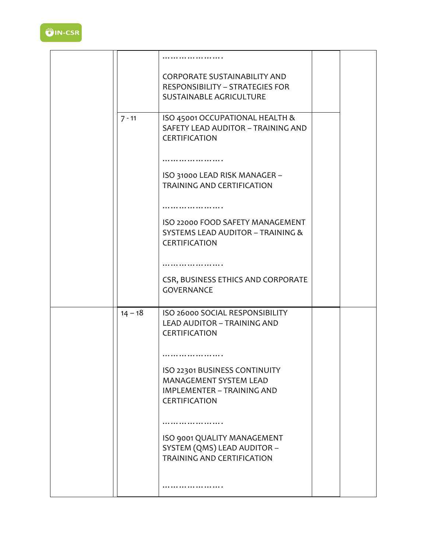

|           | <b>CORPORATE SUSTAINABILITY AND</b><br><b>RESPONSIBILITY - STRATEGIES FOR</b><br>SUSTAINABLE AGRICULTURE             |  |
|-----------|----------------------------------------------------------------------------------------------------------------------|--|
| $7 - 11$  | ISO 45001 OCCUPATIONAL HEALTH &<br>SAFETY LEAD AUDITOR - TRAINING AND<br><b>CERTIFICATION</b>                        |  |
|           | .<br>ISO 31000 LEAD RISK MANAGER -<br><b>TRAINING AND CERTIFICATION</b>                                              |  |
|           | .<br>ISO 22000 FOOD SAFETY MANAGEMENT                                                                                |  |
|           | SYSTEMS LEAD AUDITOR - TRAINING &<br><b>CERTIFICATION</b>                                                            |  |
|           | CSR, BUSINESS ETHICS AND CORPORATE<br><b>GOVERNANCE</b>                                                              |  |
| $14 - 18$ | ISO 26000 SOCIAL RESPONSIBILITY<br><b>LEAD AUDITOR - TRAINING AND</b><br><b>CERTIFICATION</b>                        |  |
|           |                                                                                                                      |  |
|           | ISO 22301 BUSINESS CONTINUITY<br>MANAGEMENT SYSTEM LEAD<br><b>IMPLEMENTER - TRAINING AND</b><br><b>CERTIFICATION</b> |  |
|           |                                                                                                                      |  |
|           | ISO 9001 QUALITY MANAGEMENT<br>SYSTEM (QMS) LEAD AUDITOR -<br><b>TRAINING AND CERTIFICATION</b>                      |  |
|           |                                                                                                                      |  |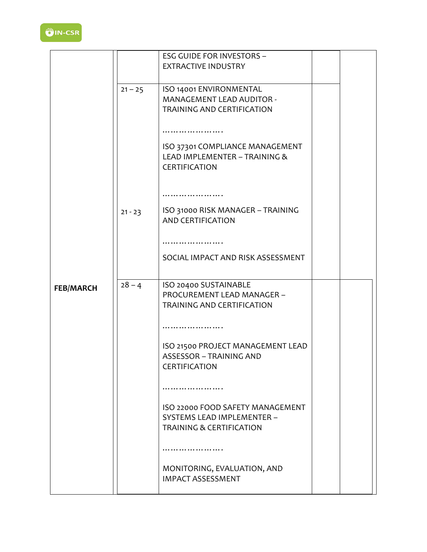

|                  |           | <b>ESG GUIDE FOR INVESTORS -</b>                    |  |
|------------------|-----------|-----------------------------------------------------|--|
|                  |           | <b>EXTRACTIVE INDUSTRY</b>                          |  |
|                  |           |                                                     |  |
|                  |           |                                                     |  |
|                  | $21 - 25$ | ISO 14001 ENVIRONMENTAL                             |  |
|                  |           | <b>MANAGEMENT LEAD AUDITOR -</b>                    |  |
|                  |           | <b>TRAINING AND CERTIFICATION</b>                   |  |
|                  |           |                                                     |  |
|                  |           | .                                                   |  |
|                  |           | ISO 37301 COMPLIANCE MANAGEMENT                     |  |
|                  |           | LEAD IMPLEMENTER - TRAINING &                       |  |
|                  |           | CERTIFICATION                                       |  |
|                  |           |                                                     |  |
|                  |           |                                                     |  |
|                  |           |                                                     |  |
|                  | $21 - 23$ | ISO 31000 RISK MANAGER - TRAINING                   |  |
|                  |           | <b>AND CERTIFICATION</b>                            |  |
|                  |           |                                                     |  |
|                  |           |                                                     |  |
|                  |           | SOCIAL IMPACT AND RISK ASSESSMENT                   |  |
|                  |           |                                                     |  |
|                  | $28 - 4$  |                                                     |  |
| <b>FEB/MARCH</b> |           | ISO 20400 SUSTAINABLE<br>PROCUREMENT LEAD MANAGER - |  |
|                  |           |                                                     |  |
|                  |           | TRAINING AND CERTIFICATION                          |  |
|                  |           | .                                                   |  |
|                  |           |                                                     |  |
|                  |           | ISO 21500 PROJECT MANAGEMENT LEAD                   |  |
|                  |           | <b>ASSESSOR - TRAINING AND</b>                      |  |
|                  |           | CERTIFICATION                                       |  |
|                  |           |                                                     |  |
|                  |           |                                                     |  |
|                  |           |                                                     |  |
|                  |           | ISO 22000 FOOD SAFETY MANAGEMENT                    |  |
|                  |           | SYSTEMS LEAD IMPLEMENTER -                          |  |
|                  |           | <b>TRAINING &amp; CERTIFICATION</b>                 |  |
|                  |           |                                                     |  |
|                  |           |                                                     |  |
|                  |           | MONITORING, EVALUATION, AND                         |  |
|                  |           | <b>IMPACT ASSESSMENT</b>                            |  |
|                  |           |                                                     |  |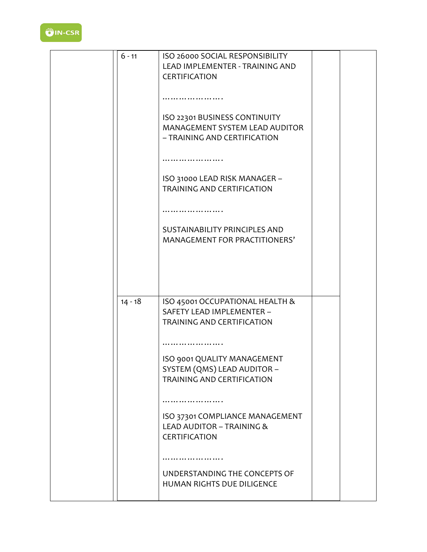

| $6 - 11$  | ISO 26000 SOCIAL RESPONSIBILITY    |  |
|-----------|------------------------------------|--|
|           | LEAD IMPLEMENTER - TRAINING AND    |  |
|           | CERTIFICATION                      |  |
|           |                                    |  |
|           |                                    |  |
|           |                                    |  |
|           |                                    |  |
|           | ISO 22301 BUSINESS CONTINUITY      |  |
|           | MANAGEMENT SYSTEM LEAD AUDITOR     |  |
|           | - TRAINING AND CERTIFICATION       |  |
|           |                                    |  |
|           |                                    |  |
|           |                                    |  |
|           |                                    |  |
|           | ISO 31000 LEAD RISK MANAGER -      |  |
|           | <b>TRAINING AND CERTIFICATION</b>  |  |
|           |                                    |  |
|           |                                    |  |
|           |                                    |  |
|           | SUSTAINABILITY PRINCIPLES AND      |  |
|           | MANAGEMENT FOR PRACTITIONERS'      |  |
|           |                                    |  |
|           |                                    |  |
|           |                                    |  |
|           |                                    |  |
|           |                                    |  |
|           |                                    |  |
| $14 - 18$ | ISO 45001 OCCUPATIONAL HEALTH &    |  |
|           | SAFETY LEAD IMPLEMENTER -          |  |
|           | <b>TRAINING AND CERTIFICATION</b>  |  |
|           |                                    |  |
|           |                                    |  |
|           |                                    |  |
|           | <b>ISO 9001 QUALITY MANAGEMENT</b> |  |
|           | SYSTEM (QMS) LEAD AUDITOR -        |  |
|           | <b>TRAINING AND CERTIFICATION</b>  |  |
|           |                                    |  |
|           |                                    |  |
|           |                                    |  |
|           | ISO 37301 COMPLIANCE MANAGEMENT    |  |
|           | LEAD AUDITOR - TRAINING &          |  |
|           | <b>CERTIFICATION</b>               |  |
|           |                                    |  |
|           |                                    |  |
|           |                                    |  |
|           | UNDERSTANDING THE CONCEPTS OF      |  |
|           | HUMAN RIGHTS DUE DILIGENCE         |  |
|           |                                    |  |
|           |                                    |  |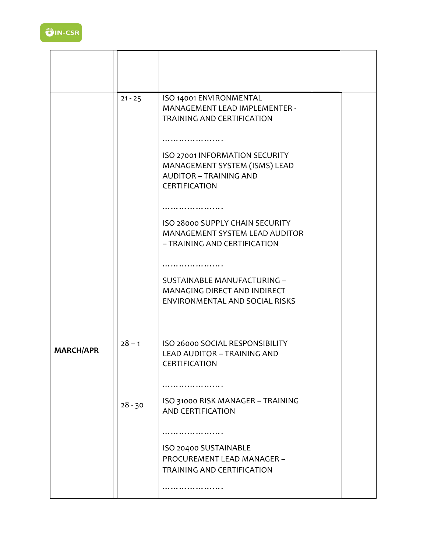|                  | $21 - 25$ | ISO 14001 ENVIRONMENTAL<br>MANAGEMENT LEAD IMPLEMENTER -<br><b>TRAINING AND CERTIFICATION</b>                            |  |
|------------------|-----------|--------------------------------------------------------------------------------------------------------------------------|--|
|                  |           |                                                                                                                          |  |
|                  |           | ISO 27001 INFORMATION SECURITY<br>MANAGEMENT SYSTEM (ISMS) LEAD<br><b>AUDITOR - TRAINING AND</b><br><b>CERTIFICATION</b> |  |
|                  |           |                                                                                                                          |  |
|                  |           | ISO 28000 SUPPLY CHAIN SECURITY<br>MANAGEMENT SYSTEM LEAD AUDITOR<br>- TRAINING AND CERTIFICATION                        |  |
|                  |           | .                                                                                                                        |  |
|                  |           | SUSTAINABLE MANUFACTURING -<br>MANAGING DIRECT AND INDIRECT<br>ENVIRONMENTAL AND SOCIAL RISKS                            |  |
| <b>MARCH/APR</b> | $28 - 1$  | ISO 26000 SOCIAL RESPONSIBILITY<br><b>LEAD AUDITOR - TRAINING AND</b><br><b>CERTIFICATION</b>                            |  |
|                  |           |                                                                                                                          |  |
|                  | $28 - 30$ | ISO 31000 RISK MANAGER - TRAINING<br><b>AND CERTIFICATION</b>                                                            |  |
|                  |           |                                                                                                                          |  |
|                  |           | ISO 20400 SUSTAINABLE<br>PROCUREMENT LEAD MANAGER -<br>TRAINING AND CERTIFICATION                                        |  |
|                  |           |                                                                                                                          |  |